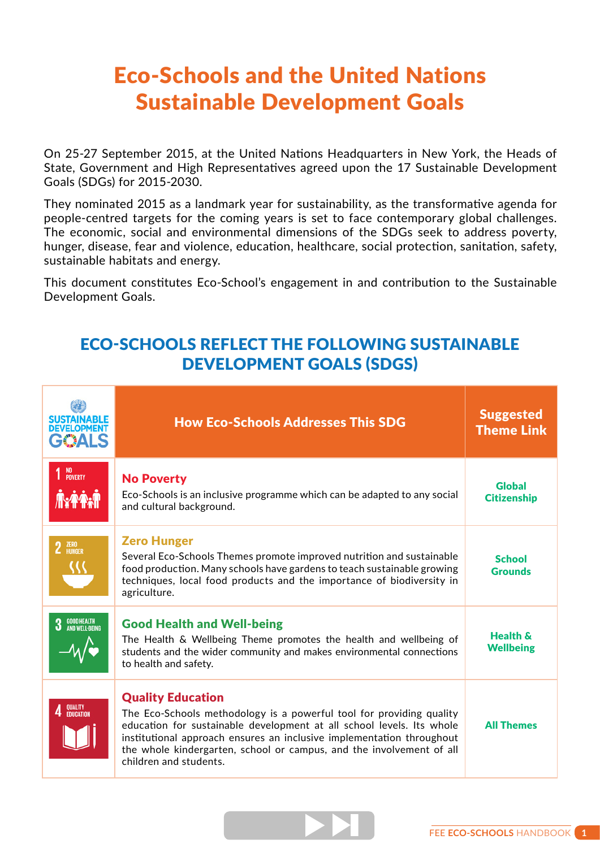## Eco-Schools and the United Nations Sustainable Development Goals

On 25-27 September 2015, at the United Nations Headquarters in New York, the Heads of State, Government and High Representatives agreed upon the 17 Sustainable Development Goals (SDGs) for 2015-2030.

They nominated 2015 as a landmark year for sustainability, as the transformative agenda for people-centred targets for the coming years is set to face contemporary global challenges. The economic, social and environmental dimensions of the SDGs seek to address poverty, hunger, disease, fear and violence, education, healthcare, social protection, sanitation, safety, sustainable habitats and energy.

This document constitutes Eco-School's engagement in and contribution to the Sustainable Development Goals.

## ECO-SCHOOLS REFLECT THE FOLLOWING SUSTAINABLE DEVELOPMENT GOALS (SDGS)

| <b>DEVELOPMEN</b><br>GOALS | <b>How Eco-Schools Addresses This SDG</b>                                                                                                                                                                                                                                                                                                            | <b>Suggested</b><br><b>Theme Link</b> |
|----------------------------|------------------------------------------------------------------------------------------------------------------------------------------------------------------------------------------------------------------------------------------------------------------------------------------------------------------------------------------------------|---------------------------------------|
| 1 <sup>NO</sup><br>Poverty | <b>No Poverty</b><br>Eco-Schools is an inclusive programme which can be adapted to any social<br>and cultural background.                                                                                                                                                                                                                            | <b>Global</b><br><b>Citizenship</b>   |
| 2 ZERO                     | <b>Zero Hunger</b><br>Several Eco-Schools Themes promote improved nutrition and sustainable<br>food production. Many schools have gardens to teach sustainable growing<br>techniques, local food products and the importance of biodiversity in<br>agriculture.                                                                                      | <b>School</b><br><b>Grounds</b>       |
| <b>3</b> GOOD HEALTH       | <b>Good Health and Well-being</b><br>The Health & Wellbeing Theme promotes the health and wellbeing of<br>students and the wider community and makes environmental connections<br>to health and safety.                                                                                                                                              | Health &<br><b>Wellbeing</b>          |
| 4 QUALITY                  | <b>Quality Education</b><br>The Eco-Schools methodology is a powerful tool for providing quality<br>education for sustainable development at all school levels. Its whole<br>institutional approach ensures an inclusive implementation throughout<br>the whole kindergarten, school or campus, and the involvement of all<br>children and students. | <b>All Themes</b>                     |

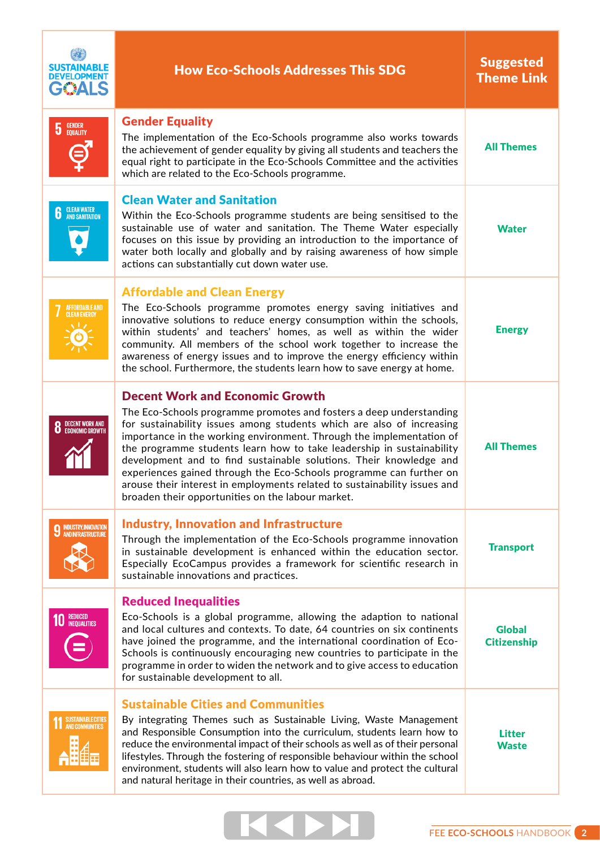| SUSTAINABLE<br>ÐА                                  | <b>How Eco-Schools Addresses This SDG</b>                                                                                                                                                                                                                                                                                                                                                                                                                                                                                                                                                                              | <b>Suggested</b><br><b>Theme Link</b> |
|----------------------------------------------------|------------------------------------------------------------------------------------------------------------------------------------------------------------------------------------------------------------------------------------------------------------------------------------------------------------------------------------------------------------------------------------------------------------------------------------------------------------------------------------------------------------------------------------------------------------------------------------------------------------------------|---------------------------------------|
| <b>GENDER</b><br>EQUALITY<br>5                     | <b>Gender Equality</b><br>The implementation of the Eco-Schools programme also works towards<br>the achievement of gender equality by giving all students and teachers the<br>equal right to participate in the Eco-Schools Committee and the activities<br>which are related to the Eco-Schools programme.                                                                                                                                                                                                                                                                                                            | <b>All Themes</b>                     |
| <b>CLEAN WATER</b><br>AND SANITATION               | <b>Clean Water and Sanitation</b><br>Within the Eco-Schools programme students are being sensitised to the<br>sustainable use of water and sanitation. The Theme Water especially<br>focuses on this issue by providing an introduction to the importance of<br>water both locally and globally and by raising awareness of how simple<br>actions can substantially cut down water use.                                                                                                                                                                                                                                | <b>Water</b>                          |
| AFFORDABLE AND<br>CLEAN ENERGY                     | <b>Affordable and Clean Energy</b><br>The Eco-Schools programme promotes energy saving initiatives and<br>innovative solutions to reduce energy consumption within the schools,<br>within students' and teachers' homes, as well as within the wider<br>community. All members of the school work together to increase the<br>awareness of energy issues and to improve the energy efficiency within<br>the school. Furthermore, the students learn how to save energy at home.                                                                                                                                        | <b>Energy</b>                         |
| DECENT WORK AND<br>ECONOMIC GROWTH                 | <b>Decent Work and Economic Growth</b><br>The Eco-Schools programme promotes and fosters a deep understanding<br>for sustainability issues among students which are also of increasing<br>importance in the working environment. Through the implementation of<br>the programme students learn how to take leadership in sustainability<br>development and to find sustainable solutions. Their knowledge and<br>experiences gained through the Eco-Schools programme can further on<br>arouse their interest in employments related to sustainability issues and<br>broaden their opportunities on the labour market. | <b>All Themes</b>                     |
| <b>INDUSTRY, INNOVATION<br/>AND INFRASTRUCTURE</b> | <b>Industry, Innovation and Infrastructure</b><br>Through the implementation of the Eco-Schools programme innovation<br>in sustainable development is enhanced within the education sector.<br>Especially EcoCampus provides a framework for scientific research in<br>sustainable innovations and practices.                                                                                                                                                                                                                                                                                                          | <b>Transport</b>                      |
| <b>REDUCED<br/>INEQUALITIES</b>                    | <b>Reduced Inequalities</b><br>Eco-Schools is a global programme, allowing the adaption to national<br>and local cultures and contexts. To date, 64 countries on six continents<br>have joined the programme, and the international coordination of Eco-<br>Schools is continuously encouraging new countries to participate in the<br>programme in order to widen the network and to give access to education<br>for sustainable development to all.                                                                                                                                                                  | <b>Global</b><br><b>Citizenship</b>   |
| SUSTAINABLE CITIES<br>AND COMMUNITIES              | <b>Sustainable Cities and Communities</b><br>By integrating Themes such as Sustainable Living, Waste Management<br>and Responsible Consumption into the curriculum, students learn how to<br>reduce the environmental impact of their schools as well as of their personal<br>lifestyles. Through the fostering of responsible behaviour within the school<br>environment, students will also learn how to value and protect the cultural<br>and natural heritage in their countries, as well as abroad.                                                                                                               | <b>Litter</b><br><b>Waste</b>         |

т